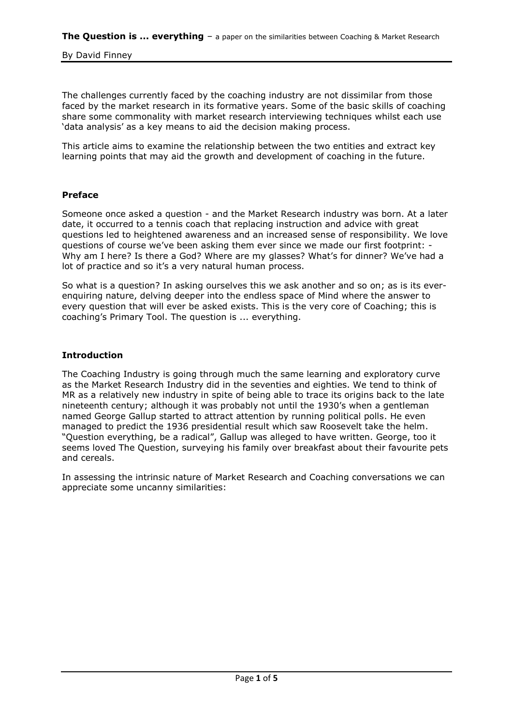The challenges currently faced by the coaching industry are not dissimilar from those faced by the market research in its formative years. Some of the basic skills of coaching share some commonality with market research interviewing techniques whilst each use 'data analysis' as a key means to aid the decision making process.

This article aims to examine the relationship between the two entities and extract key learning points that may aid the growth and development of coaching in the future.

### **Preface**

Someone once asked a question - and the Market Research industry was born. At a later date, it occurred to a tennis coach that replacing instruction and advice with great questions led to heightened awareness and an increased sense of responsibility. We love questions of course we've been asking them ever since we made our first footprint: -Why am I here? Is there a God? Where are my glasses? What's for dinner? We've had a lot of practice and so it's a very natural human process.

So what is a question? In asking ourselves this we ask another and so on; as is its everenquiring nature, delving deeper into the endless space of Mind where the answer to every question that will ever be asked exists. This is the very core of Coaching; this is coaching's Primary Tool. The question is ... everything.

# **Introduction**

The Coaching Industry is going through much the same learning and exploratory curve as the Market Research Industry did in the seventies and eighties. We tend to think of MR as a relatively new industry in spite of being able to trace its origins back to the late nineteenth century; although it was probably not until the 1930"s when a gentleman named George Gallup started to attract attention by running political polls. He even managed to predict the 1936 presidential result which saw Roosevelt take the helm. "Question everything, be a radical", Gallup was alleged to have written. George, too it seems loved The Question, surveying his family over breakfast about their favourite pets and cereals.

In assessing the intrinsic nature of Market Research and Coaching conversations we can appreciate some uncanny similarities: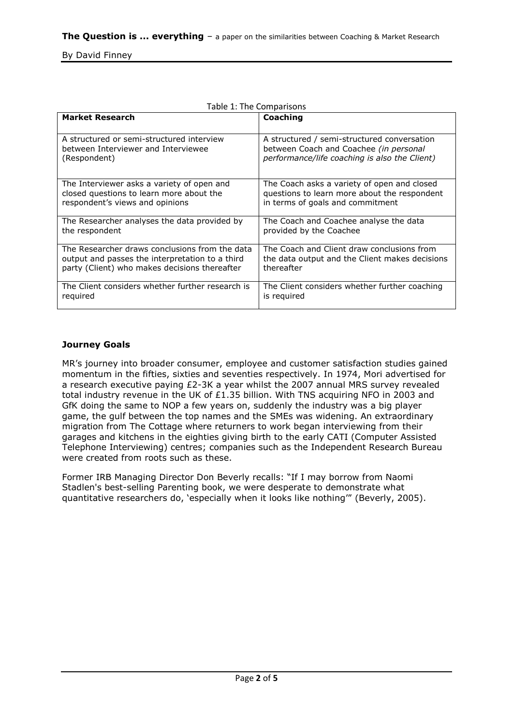| <b>Market Research</b>                           | Coaching                                       |
|--------------------------------------------------|------------------------------------------------|
|                                                  |                                                |
| A structured or semi-structured interview        | A structured / semi-structured conversation    |
| between Interviewer and Interviewee              | between Coach and Coachee (in personal         |
| (Respondent)                                     | performance/life coaching is also the Client)  |
| The Interviewer asks a variety of open and       | The Coach asks a variety of open and closed    |
| closed questions to learn more about the         | questions to learn more about the respondent   |
| respondent's views and opinions                  | in terms of goals and commitment               |
| The Researcher analyses the data provided by     | The Coach and Coachee analyse the data         |
| the respondent                                   | provided by the Coachee                        |
| The Researcher draws conclusions from the data   | The Coach and Client draw conclusions from     |
| output and passes the interpretation to a third  | the data output and the Client makes decisions |
| party (Client) who makes decisions thereafter    | thereafter                                     |
| The Client considers whether further research is | The Client considers whether further coaching  |
| required                                         | is required                                    |

#### Table 1: The Comparisons

# **Journey Goals**

MR"s journey into broader consumer, employee and customer satisfaction studies gained momentum in the fifties, sixties and seventies respectively. In 1974, Mori advertised for a research executive paying  $E2-3K$  a year whilst the 2007 annual MRS survey revealed total industry revenue in the UK of  $£1.35$  billion. With TNS acquiring NFO in 2003 and GfK doing the same to NOP a few years on, suddenly the industry was a big player game, the gulf between the top names and the SMEs was widening. An extraordinary migration from The Cottage where returners to work began interviewing from their garages and kitchens in the eighties giving birth to the early CATI (Computer Assisted Telephone Interviewing) centres; companies such as the Independent Research Bureau were created from roots such as these.

Former IRB Managing Director Don Beverly recalls: "If I may borrow from Naomi Stadlen's best-selling Parenting book, we were desperate to demonstrate what quantitative researchers do, "especially when it looks like nothing"" (Beverly, 2005).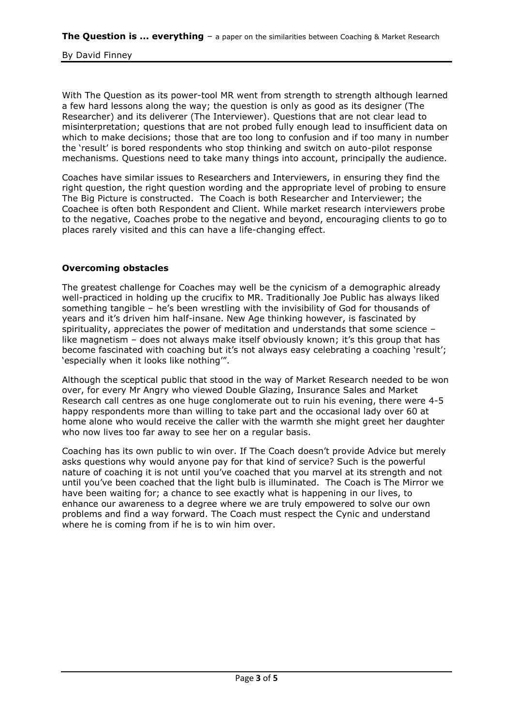With The Question as its power-tool MR went from strength to strength although learned a few hard lessons along the way; the question is only as good as its designer (The Researcher) and its deliverer (The Interviewer). Questions that are not clear lead to misinterpretation; questions that are not probed fully enough lead to insufficient data on which to make decisions; those that are too long to confusion and if too many in number the "result" is bored respondents who stop thinking and switch on auto-pilot response mechanisms. Questions need to take many things into account, principally the audience.

Coaches have similar issues to Researchers and Interviewers, in ensuring they find the right question, the right question wording and the appropriate level of probing to ensure The Big Picture is constructed. The Coach is both Researcher and Interviewer; the Coachee is often both Respondent and Client. While market research interviewers probe to the negative, Coaches probe to the negative and beyond, encouraging clients to go to places rarely visited and this can have a life-changing effect.

# **Overcoming obstacles**

The greatest challenge for Coaches may well be the cynicism of a demographic already well-practiced in holding up the crucifix to MR. Traditionally Joe Public has always liked something tangible – he's been wrestling with the invisibility of God for thousands of years and it's driven him half-insane. New Age thinking however, is fascinated by spirituality, appreciates the power of meditation and understands that some science – like magnetism - does not always make itself obviously known; it's this group that has become fascinated with coaching but it's not always easy celebrating a coaching 'result'; "especially when it looks like nothing"".

Although the sceptical public that stood in the way of Market Research needed to be won over, for every Mr Angry who viewed Double Glazing, Insurance Sales and Market Research call centres as one huge conglomerate out to ruin his evening, there were 4-5 happy respondents more than willing to take part and the occasional lady over 60 at home alone who would receive the caller with the warmth she might greet her daughter who now lives too far away to see her on a regular basis.

Coaching has its own public to win over. If The Coach doesn"t provide Advice but merely asks questions why would anyone pay for that kind of service? Such is the powerful nature of coaching it is not until you"ve coached that you marvel at its strength and not until you"ve been coached that the light bulb is illuminated. The Coach is The Mirror we have been waiting for; a chance to see exactly what is happening in our lives, to enhance our awareness to a degree where we are truly empowered to solve our own problems and find a way forward. The Coach must respect the Cynic and understand where he is coming from if he is to win him over.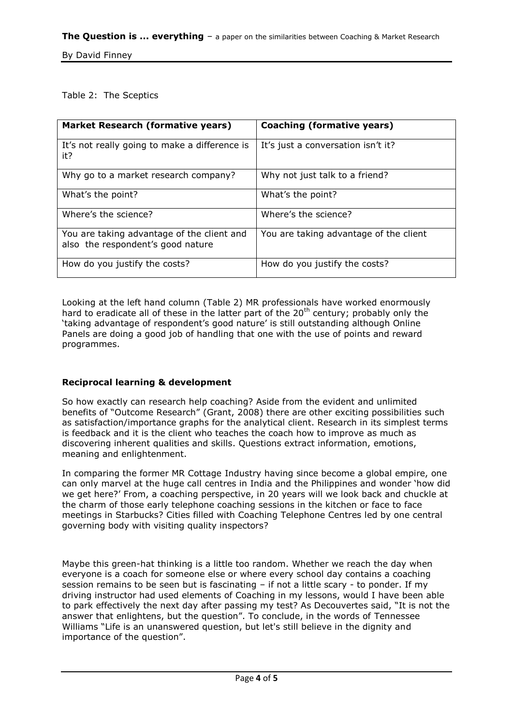# Table 2: The Sceptics

| <b>Market Research (formative years)</b>                                        | Coaching (formative years)             |
|---------------------------------------------------------------------------------|----------------------------------------|
| It's not really going to make a difference is<br>it?                            | It's just a conversation isn't it?     |
| Why go to a market research company?                                            | Why not just talk to a friend?         |
| What's the point?                                                               | What's the point?                      |
| Where's the science?                                                            | Where's the science?                   |
| You are taking advantage of the client and<br>also the respondent's good nature | You are taking advantage of the client |
| How do you justify the costs?                                                   | How do you justify the costs?          |

Looking at the left hand column (Table 2) MR professionals have worked enormously hard to eradicate all of these in the latter part of the  $20<sup>th</sup>$  century; probably only the "taking advantage of respondent"s good nature" is still outstanding although Online Panels are doing a good job of handling that one with the use of points and reward programmes.

# **Reciprocal learning & development**

So how exactly can research help coaching? Aside from the evident and unlimited benefits of "Outcome Research" (Grant, 2008) there are other exciting possibilities such as satisfaction/importance graphs for the analytical client. Research in its simplest terms is feedback and it is the client who teaches the coach how to improve as much as discovering inherent qualities and skills. Questions extract information, emotions, meaning and enlightenment.

In comparing the former MR Cottage Industry having since become a global empire, one can only marvel at the huge call centres in India and the Philippines and wonder "how did we get here?" From, a coaching perspective, in 20 years will we look back and chuckle at the charm of those early telephone coaching sessions in the kitchen or face to face meetings in Starbucks? Cities filled with Coaching Telephone Centres led by one central governing body with visiting quality inspectors?

Maybe this green-hat thinking is a little too random. Whether we reach the day when everyone is a coach for someone else or where every school day contains a coaching session remains to be seen but is fascinating – if not a little scary - to ponder. If my driving instructor had used elements of Coaching in my lessons, would I have been able to park effectively the next day after passing my test? As Decouvertes said, "It is not the answer that enlightens, but the question". To conclude, in the words of Tennessee Williams "Life is an unanswered question, but let's still believe in the dignity and importance of the question".